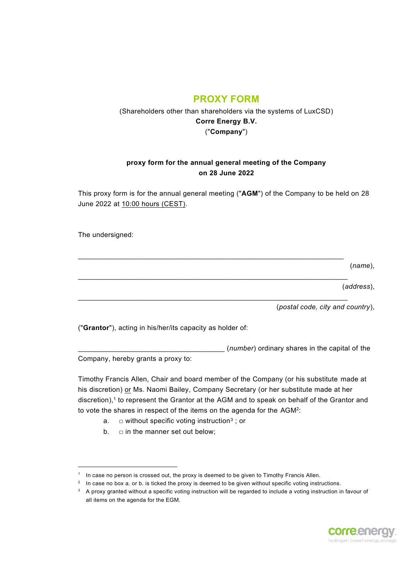# **PROXY FORM**

## (Shareholders other than shareholders via the systems of LuxCSD) **Corre Energy B.V.** ("**Company**")

#### **proxy form for the annual general meeting of the Company on 28 June 2022**

This proxy form is for the annual general meeting ("**AGM**") of the Company to be held on 28 June 2022 at 10:00 hours (CEST).

 $\mathcal{L}_\mathcal{L} = \{ \mathcal{L}_\mathcal{L} = \{ \mathcal{L}_\mathcal{L} = \{ \mathcal{L}_\mathcal{L} = \{ \mathcal{L}_\mathcal{L} = \{ \mathcal{L}_\mathcal{L} = \{ \mathcal{L}_\mathcal{L} = \{ \mathcal{L}_\mathcal{L} = \{ \mathcal{L}_\mathcal{L} = \{ \mathcal{L}_\mathcal{L} = \{ \mathcal{L}_\mathcal{L} = \{ \mathcal{L}_\mathcal{L} = \{ \mathcal{L}_\mathcal{L} = \{ \mathcal{L}_\mathcal{L} = \{ \mathcal{L}_\mathcal{$ 

 $\mathcal{L}_\mathcal{L} = \{ \mathcal{L}_\mathcal{L} = \{ \mathcal{L}_\mathcal{L} = \{ \mathcal{L}_\mathcal{L} = \{ \mathcal{L}_\mathcal{L} = \{ \mathcal{L}_\mathcal{L} = \{ \mathcal{L}_\mathcal{L} = \{ \mathcal{L}_\mathcal{L} = \{ \mathcal{L}_\mathcal{L} = \{ \mathcal{L}_\mathcal{L} = \{ \mathcal{L}_\mathcal{L} = \{ \mathcal{L}_\mathcal{L} = \{ \mathcal{L}_\mathcal{L} = \{ \mathcal{L}_\mathcal{L} = \{ \mathcal{L}_\mathcal{$ 

 $\mathcal{L}_\mathcal{L} = \{ \mathcal{L}_\mathcal{L} = \{ \mathcal{L}_\mathcal{L} = \{ \mathcal{L}_\mathcal{L} = \{ \mathcal{L}_\mathcal{L} = \{ \mathcal{L}_\mathcal{L} = \{ \mathcal{L}_\mathcal{L} = \{ \mathcal{L}_\mathcal{L} = \{ \mathcal{L}_\mathcal{L} = \{ \mathcal{L}_\mathcal{L} = \{ \mathcal{L}_\mathcal{L} = \{ \mathcal{L}_\mathcal{L} = \{ \mathcal{L}_\mathcal{L} = \{ \mathcal{L}_\mathcal{L} = \{ \mathcal{L}_\mathcal{$ 

The undersigned:

(*name*),

(*address*),

(*postal code, city and country*),

("**Grantor**"), acting in his/her/its capacity as holder of:

\_\_\_\_\_\_\_\_\_\_\_\_\_\_\_\_\_\_\_\_\_\_\_\_\_\_\_\_\_\_\_\_\_\_\_\_\_ (*number*) ordinary shares in the capital of the

Company, hereby grants a proxy to:

Timothy Francis Allen, Chair and board member of the Company (or his substitute made at his discretion) or Ms. Naomi Bailey, Company Secretary (or her substitute made at her discretion), 1 to represent the Grantor at the AGM and to speak on behalf of the Grantor and to vote the shares in respect of the items on the agenda for the AGM<sup>2</sup>:

- a.  $\quad \Box$  without specific voting instruction $^3$  ; or
- b.  $\square$  in the manner set out below;

 $^3$   $\,$  A proxy granted without a specific voting instruction will be regarded to include a voting instruction in favour of all items on the agenda for the EGM.



 $1$  In case no person is crossed out, the proxy is deemed to be given to Timothy Francis Allen.

 $^2$  In case no box a. or b. is ticked the proxy is deemed to be given without specific voting instructions.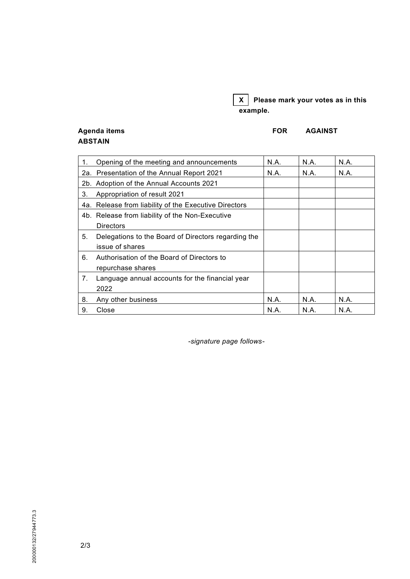## **X Please mark your votes as in this example.**

### Agenda items **FOR AGAINST ABSTAIN**

| 1. | Opening of the meeting and announcements              | N.A. | N.A. | N.A. |
|----|-------------------------------------------------------|------|------|------|
|    | 2a. Presentation of the Annual Report 2021            | N.A. | N.A. | N.A. |
|    | 2b. Adoption of the Annual Accounts 2021              |      |      |      |
| 3. | Appropriation of result 2021                          |      |      |      |
|    | 4a. Release from liability of the Executive Directors |      |      |      |
|    | 4b. Release from liability of the Non-Executive       |      |      |      |
|    | <b>Directors</b>                                      |      |      |      |
| 5. | Delegations to the Board of Directors regarding the   |      |      |      |
|    | issue of shares                                       |      |      |      |
| 6. | Authorisation of the Board of Directors to            |      |      |      |
|    | repurchase shares                                     |      |      |      |
| 7. | Language annual accounts for the financial year       |      |      |      |
|    | 2022                                                  |      |      |      |
| 8. | Any other business                                    | N.A. | N.A. | N.A. |
| 9. | Close                                                 | N.A. | N.A. | N.A. |

*-signature page follows-*